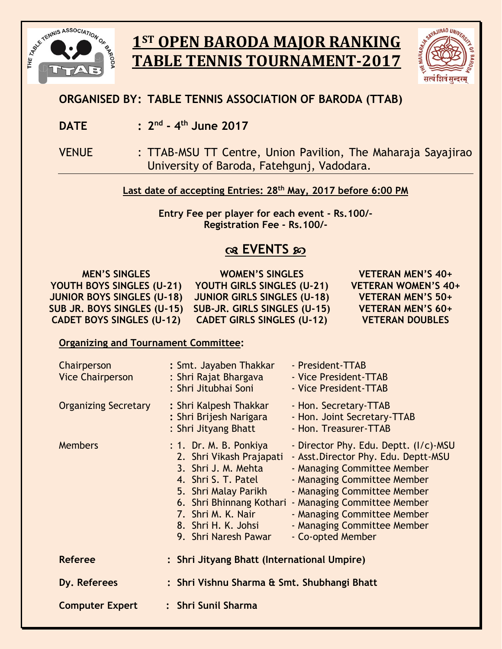

# **1ST OPEN BARODA MAJOR RANKING TABLE TENNIS TOURNAMENT-2017**



## **ORGANISED BY: TABLE TENNIS ASSOCIATION OF BARODA (TTAB)**

- **DATE : 2 nd - 4 th June 2017**
- VENUE : TTAB-MSU TT Centre, Union Pavilion, The Maharaja Sayajirao University of Baroda, Fatehgunj, Vadodara.

### **Last date of accepting Entries: 28 th May, 2017 before 6:00 PM**

**Entry Fee per player for each event - Rs.100/- Registration Fee - Rs.100/-**

## **EVENTS**

| <b>MEN'S SINGLES</b>              | <b>WOMEN'S SINGLES</b>             | VETERAN MEN'S 40+          |
|-----------------------------------|------------------------------------|----------------------------|
| YOUTH BOYS SINGLES (U-21)         | YOUTH GIRLS SINGLES (U-21)         | <b>VETERAN WOMEN'S 40+</b> |
| <b>JUNIOR BOYS SINGLES (U-18)</b> | <b>JUNIOR GIRLS SINGLES (U-18)</b> | <b>VETERAN MEN'S 50+</b>   |
| SUB JR. BOYS SINGLES (U-15)       | SUB-JR. GIRLS SINGLES (U-15)       | <b>VETERAN MEN'S 60+</b>   |
| <b>CADET BOYS SINGLES (U-12)</b>  | <b>CADET GIRLS SINGLES (U-12)</b>  | <b>VETERAN DOUBLES</b>     |

#### **Organizing and Tournament Committee:**

| Chairperson<br><b>Vice Chairperson</b> | : Smt. Jayaben Thakkar<br>: Shri Rajat Bhargava<br>: Shri Jitubhai Soni                                                                                                                                                   | - President-TTAB<br>- Vice President-TTAB<br>- Vice President-TTAB                                                                                                                                                                                                                           |  |
|----------------------------------------|---------------------------------------------------------------------------------------------------------------------------------------------------------------------------------------------------------------------------|----------------------------------------------------------------------------------------------------------------------------------------------------------------------------------------------------------------------------------------------------------------------------------------------|--|
| <b>Organizing Secretary</b>            | : Shri Kalpesh Thakkar<br>: Shri Brijesh Narigara<br>: Shri Jityang Bhatt                                                                                                                                                 | - Hon. Secretary-TTAB<br>- Hon. Joint Secretary-TTAB<br>- Hon. Treasurer-TTAB                                                                                                                                                                                                                |  |
| <b>Members</b>                         | : 1. Dr. M. B. Ponkiya<br>2. Shri Vikash Prajapati<br>3. Shri J. M. Mehta<br>4. Shri S. T. Patel<br>5. Shri Malay Parikh<br>6. Shri Bhinnang Kothari<br>7. Shri M. K. Nair<br>8. Shri H. K. Johsi<br>9. Shri Naresh Pawar | - Director Phy. Edu. Deptt. (I/c)-MSU<br>- Asst. Director Phy. Edu. Deptt-MSU<br>- Managing Committee Member<br>- Managing Committee Member<br>- Managing Committee Member<br>- Managing Committee Member<br>- Managing Committee Member<br>- Managing Committee Member<br>- Co-opted Member |  |
| <b>Referee</b>                         | : Shri Jityang Bhatt (International Umpire)                                                                                                                                                                               |                                                                                                                                                                                                                                                                                              |  |
| Dy. Referees                           | : Shri Vishnu Sharma & Smt. Shubhangi Bhatt                                                                                                                                                                               |                                                                                                                                                                                                                                                                                              |  |
| <b>Computer Expert</b>                 | : Shri Sunil Sharma                                                                                                                                                                                                       |                                                                                                                                                                                                                                                                                              |  |